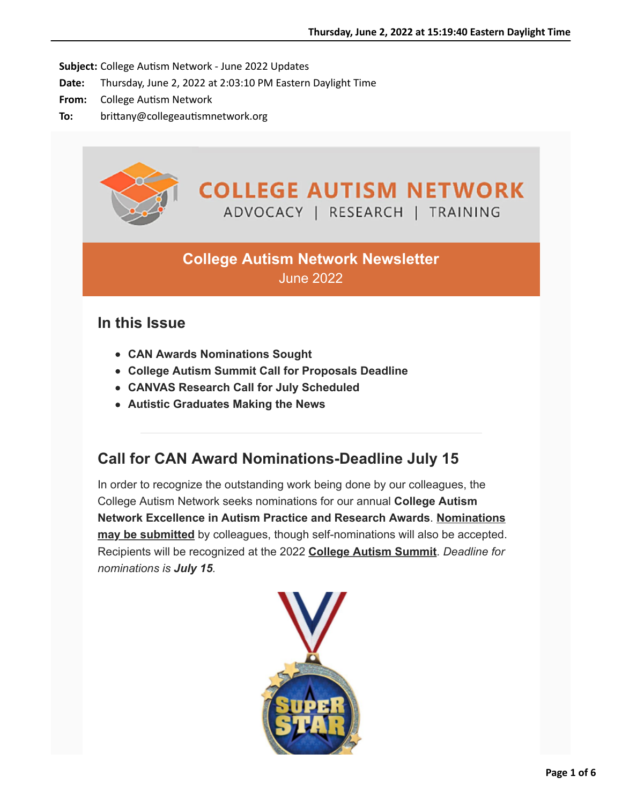Subject: College Autism Network - June 2022 Updates

- **Date:** Thursday, June 2, 2022 at 2:03:10 PM Eastern Daylight Time
- From: College Autism Network
- To: brittany@collegeautismnetwork.org



## **College Autism Network Newsletter** June 2022

### **In this Issue**

- **CAN Awards Nominations Sought**
- **College Autism Summit Call for Proposals Deadline**
- **CANVAS Research Call for July Scheduled**
- **Autistic Graduates Making the News**

### **Call for CAN Award Nominations-Deadline July 15**

In order to recognize the outstanding work being done by our colleagues, the College Autism Network seeks nominations for our annual **College Autism [Network Excellence in Autism Practice and Research Awards](https://chlcj04.na1.hubspotlinks.com/Ctc/I5+113/cHlcj04/VVTnV05tYrKNW6gGGwh3VB5JrW178YCN4KR6wgN1FQ0tV3lScZV1-WJV7CgGQYW4lXC223y-8qSW2wCWMh6th55QW1k_cdc67KJLkW1N2VqK6wjKg8Vtn-mz8BC09tW6fj7nt1G3CkkN53SGt22nvhSW6NPzM23Rs871N3gM8QTx7LbmW8MgK7j8bVzjrW1N1T8T7zk1DzW6lNQ1N413hmjW57FvpD2KrZK-W2f0bmH2Wc7wLW7t3r_S6Ww5tSVCB0jf486h_SW14JvjC64J5DKM-JmmTLK5ydW8dJ_BW2pP0ZwW686HxX2vqWLGV4gc3c5x1695W4DVGh-6STblkW6RV7Sy6Jt-nrW76bjFm110kZ1W26Kvg01wL_YlW3GM7Rf2Zkp-tW6ZxCwz6SwWm1W4NPWHg2M2lKmW6r9g4B43LZG1W3c6R6l5_qztx3hCR1)**. **Nominations may be submitted** by colleagues, though self-nominations will also be accepted. Recipients will be recognized at the 2022 **[College Autism Summit](https://chlcj04.na1.hubspotlinks.com/Ctc/I5+113/cHlcj04/VVTnV05tYrKNW6gGGwh3VB5JrW178YCN4KR6wgN1FQ0tB3lScGV1-WJV7CgYQHW6CbCyQ2VqGglN2q0D8LT5jBPW6_sw4c34FLGwVsf3yC6bFBz8W6xwtxc6cd_RsW5Ys1Nc90_zszW6CbfpC1Dyy_4W8qz_xc7k26Q3W95NV383Jdd3NW2zX_Bf38Y18jW3fyHsT82FtbhW4Cd-KD7MG3l6W7tQC9m2NPS0WW28P3TZ3Y-zswW3XZCG438-fdSW5KrWdy8wZwb3W7G8Ds559WrdKW5Kg44J40w_VrW1mFXHy2hRKgwW6j1xNl3cvbq9V_p-ws8h4cqcW8Pfs1x2JtPNmW1fl5Qb36_6f6V2pfjv4BW2WLW81cMDl3-mCSmVGPglL8fplzmW8jcft43fvCBWW6VZ0Kp5f70Kh31pV1)**. *Deadline for nominations is July 15.*

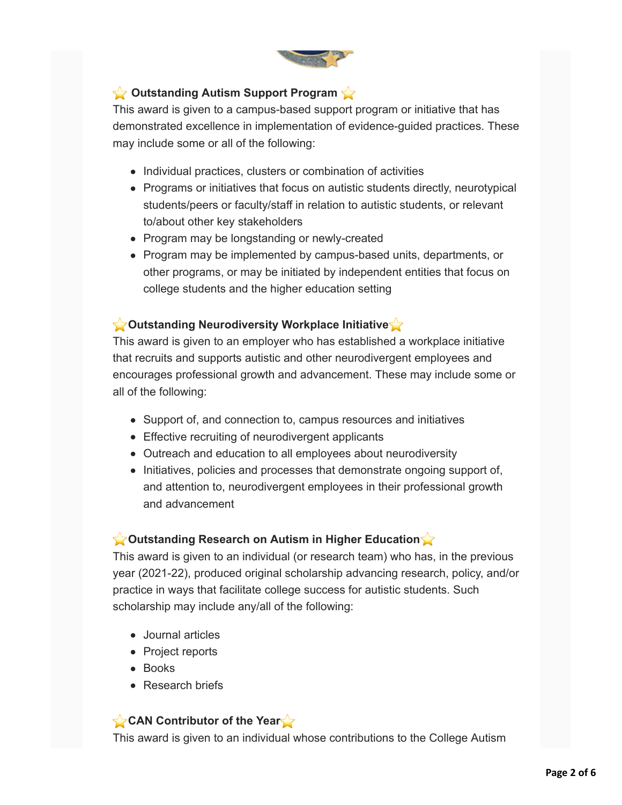

#### **Coutstanding Autism Support Program**

This award is given to a campus-based support program or initiative that has demonstrated excellence in implementation of evidence-guided practices. These may include some or all of the following:

- Individual practices, clusters or combination of activities
- Programs or initiatives that focus on autistic students directly, neurotypical students/peers or faculty/staff in relation to autistic students, or relevant to/about other key stakeholders
- Program may be longstanding or newly-created
- Program may be implemented by campus-based units, departments, or other programs, or may be initiated by independent entities that focus on college students and the higher education setting

#### **Cutstanding Neurodiversity Workplace Initiative**

This award is given to an employer who has established a workplace initiative that recruits and supports autistic and other neurodivergent employees and encourages professional growth and advancement. These may include some or all of the following:

- Support of, and connection to, campus resources and initiatives
- Effective recruiting of neurodivergent applicants
- Outreach and education to all employees about neurodiversity
- Initiatives, policies and processes that demonstrate ongoing support of, and attention to, neurodivergent employees in their professional growth and advancement

#### **Coutstanding Research on Autism in Higher Education**

This award is given to an individual (or research team) who has, in the previous year (2021-22), produced original scholarship advancing research, policy, and/or practice in ways that facilitate college success for autistic students. Such scholarship may include any/all of the following:

- Journal articles
- Project reports
- Books
- Research briefs

#### **CAN Contributor of the Year**

This award is given to an individual whose contributions to the College Autism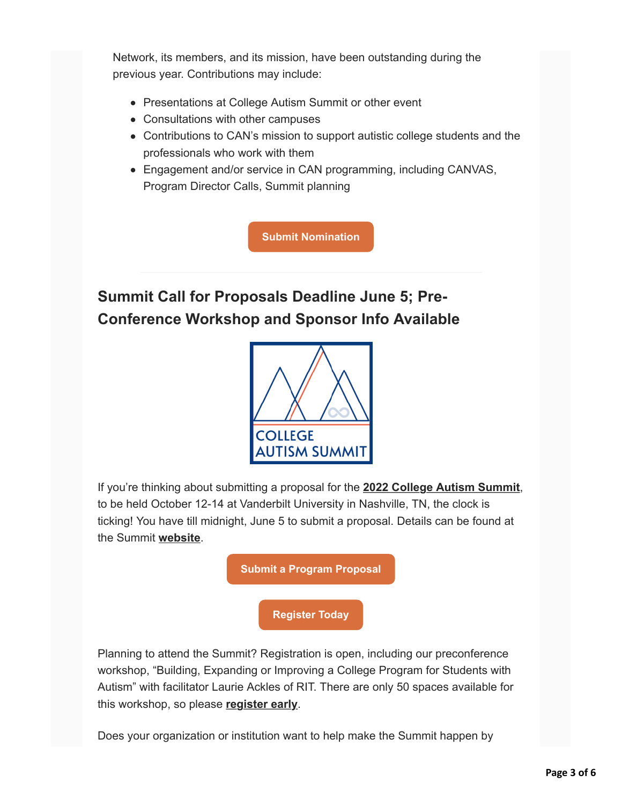Network, its members, and its mission, have been outstanding during the previous year. Contributions may include:

- Presentations at College Autism Summit or other event
- Consultations with other campuses
- Contributions to CAN's mission to support autistic college students and the professionals who work with them
- Engagement and/or service in CAN programming, including CANVAS, Program Director Calls, Summit planning

**[Submit Nomination](https://chlcj04.na1.hubspotlinks.com/Ctc/I5+113/cHlcj04/VVTnV05tYrKNW6gGGwh3VB5JrW178YCN4KR6wgN1FQ0tV3lScZV1-WJV7CgSHTVbyhQD6KbX0VW2C_dnX4xdhSgW6xprvV2M0QfkW2H12xY8NZrZzW46p1w15cYTNJW5yv0m55XV97QVTQd6q9bsGWPW87bwJX4GQ2kJW2S6wTz9j2dsTW8MQCQX3T6KsqW5XQL6v43PMJJW1QKGmM7Qy94cW7cy-_B8RC2gfW3Nm3dj7jgV3cW44Sh0l1369bHW7QPNWS2LhYwjW25Dtdq8FcmsDW7t3r7C5-zMKkW2Gcyk3377gf4W4HVRdq8hJc3RW21yL0R4gvZzkN2mn5FWdyj1nW4G7rD82H_TCSW78wPFL7kLQHBW5Jpkqy1BdwDnW4hp-gT4d-B7XW5b3Mvf3sWhhSW5P9T_w6s2MyWW1lcWp14z7LBHW20-Tl17Z1T623mmp1)**

# **Summit Call for Proposals Deadline June 5; Pre-Conference Workshop and Sponsor Info Available**



If you're thinking about submitting a proposal for the **[2022 College Autism Summit](https://chlcj04.na1.hubspotlinks.com/Ctc/I5+113/cHlcj04/VVTnV05tYrKNW6gGGwh3VB5JrW178YCN4KR6wgN1FQ0tB3lScGV1-WJV7CgT6xW1Jk59460nh-JW1bKNv-4sJ81vW2Gf5xy6LNxyvW69tp8K4SW6MVW36fYTG7sJ2q6W8TLWxK6SQw3mW4tRBxV6Jht4ZW4bjVG17_M52BN4_hlSktyxktW7B8D_Y7q9VN4W1Nr48H23DB_8W4Nh3tz8ZG17pW5MRy046sVwhtW398X-d6YlQfYW8-vcM_6Pd7R9Vh1ZTH96QlBlW4TWYJ97mF3KKW4-wnM_1tdSjcN85KSW3w7GJHW1D9HPj7DP4yqW5Y8Xrf3klFjVW596kgm8Jp7hgW969wdD2jjDH3W6DNWTX5yQPZ_Vpx1CK46k3lnW2rG6N84HH31mW5QpScV1nX7ncW8NllJs5TK2NF31kZ1)**, to be held October 12-14 at Vanderbilt University in Nashville, TN, the clock is ticking! You have till midnight, June 5 to submit a proposal. Details can be found at the Summit **[website](https://chlcj04.na1.hubspotlinks.com/Ctc/I5+113/cHlcj04/VVTnV05tYrKNW6gGGwh3VB5JrW178YCN4KR6wgN1FQ0tB3lScGV1-WJV7CgCyWW78GRW84lNCGkW5X8qTK8Hn_bqW8ZmX576LmyfdW1LXRpK5mc4LPV1bs2k5h3FFRW8cDZcJ1nyWqNW2Pj5hj6sB-C2N3HLn7wYP3FqW4nC1m_98hm6nW13mhkr5lvHFGVpbKSY3G_kfdW3BzzYq71zdlgW45qkNk87wNX4VDZSP05MtcGtW7kq_jJ7PQMN5W2nbG_j8jFgD2N2d2yGlBf_lWVcRymd1V35j5W78r5nS3TmPDDW4gWy6y9fD4DRW7rJbdH2R3ZmVW5-fW483rh9C-VvLRLX1GYr8WW21rH_j7DyH5SN4Dkv2MQBc_7W62CkbY8dS6mpW1p6VrW95ydNPW9c3LqF99G5MN37Wg1)**.



Planning to attend the Summit? Registration is open, including our preconference workshop, "Building, Expanding or Improving a College Program for Students with Autism" with facilitator Laurie Ackles of RIT. There are only 50 spaces available for this workshop, so please **[register early](https://chlcj04.na1.hubspotlinks.com/Ctc/I5+113/cHlcj04/VVTnV05tYrKNW6gGGwh3VB5JrW178YCN4KR6wgN1FQ0tB3lScGV1-WJV7CgBPXW3Ws7Fd1Q0JsbW4SL5xY4f8J5mW1h_nSC8XS63PV_fk5S5HyzhnW91np532TtgQXW4JSlWP3NyyHbW9kkpJ_5Ts584N5zKsL3kbpz2W4-J90n3HYSJhW4n637B6dDbJ-W513xX94ZNsM4W4lv0l0150Z7CW5zXS-25KPQjwW6clNJj84xFN3W1hvx861zf6rrW366s2j5LqVvnW65QtF_7VZ5D0W6-xBlk4hTXWRW4mGCg241WYNXW1Tby8c5dKYmLW36XvyW6nVL0NW4dDvMY6lZTlwW7r-hTC6fmvWZW1mTr852v5JKbN2wxd-57r3pRN7b4MXBXyqBTW489cGd3YQsb6W6yDySy8y-QdW39n71)**.

Does your organization or institution want to help make the Summit happen by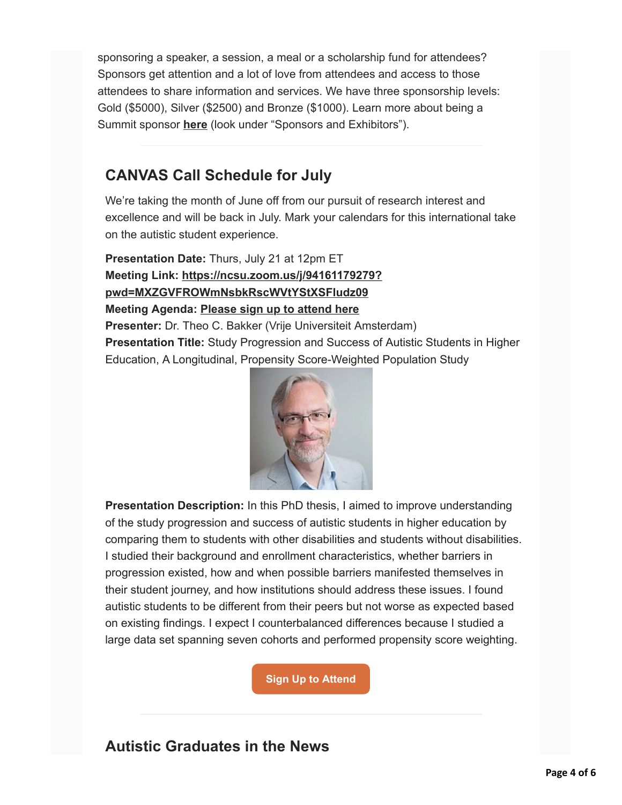sponsoring a speaker, a session, a meal or a scholarship fund for attendees? Sponsors get attention and a lot of love from attendees and access to those attendees to share information and services. We have three sponsorship levels: Gold (\$5000), Silver (\$2500) and Bronze (\$1000). Learn more about being a Summit sponsor **[here](https://chlcj04.na1.hubspotlinks.com/Ctc/I5+113/cHlcj04/VVTnV05tYrKNW6gGGwh3VB5JrW178YCN4KR6wgN1FQ0tB3lScGV1-WJV7CgQmBW8Cw54z2sQnfnW48qf1P8LNydJW65zPQt3-qRWZW8bnXvf2mLg-bW95zqVt1CLbwdW63wqPg53xnZjVrW4mS8f0RTSW1jt23S8L22mfW7yfTjR4tws-MW5HkQ7L5QGSCTW7YYppT75QD4fW3hG2R05kL-tNW7p1sff1bCf4HW2ncJWL7vtphJW7HTwJ475KLVzW4xzDTp5B1pMlW8dLL_L3ND1bRW827l3s1_0f0jW5x3JJy3XByymW8DL3LD34MD36W8fssYR6_Wz6NW6f70m96lZ2F6VMDW8G3hdKnWF4zJgfV11WhN6_j9T0CWzCbN6xwl_5f-HdxW2XRrx87RM0QHN2kfjpVJCWNX38-m1)** (look under "Sponsors and Exhibitors").

## **CANVAS Call Schedule for July**

We're taking the month of June off from our pursuit of research interest and excellence and will be back in July. Mark your calendars for this international take on the autistic student experience.

**Presentation Date:** Thurs, July 21 at 12pm ET **[Meeting Link: https://ncsu.zoom.us/j/94161179279?](https://chlcj04.na1.hubspotlinks.com/Ctc/I5+113/cHlcj04/VVTnV05tYrKNW6gGGwh3VB5JrW178YCN4KR6wgN1FQ0th3lScmV1-WJV7CgNm8W2WzPPM8KDV5_W9cGHYn8QGJlPVmTrdS5Fy7bsW3sLy4x4bd1HbW7HfS3t7_ZSQrVsjyp95cJvNlW4b-2-w5nyB0_W31Grm71j63J1W6ZKcKp4sVF-TW45p_Vz69Q6Z_N9f_xMc27tKhW7_zQVS1D6qQlW2ZFvTX1R8WtRW2-dV2B1hmHvKW4DXnl15H9PmVN8nKVbPNBgy0W2KWGt56TvQn9W3Rb6SS1p7B5zV_bMXm604PW2W64Cvrz7gLRQ1W1_HfRX4pW813W3Y--VR6LRs56W1vrh4V3NS-Q_W7vYz8N8HyW0LW6CGb6Q3_BM6rW7c_7z38qNvyV3fzq1) pwd=MXZGVFROWmNsbkRscWVtYStXSFludz09 Meeting Agenda: [Please sign up to attend here](https://chlcj04.na1.hubspotlinks.com/Ctc/I5+113/cHlcj04/VVTnV05tYrKNW6gGGwh3VB5JrW178YCN4KR6wgN1FQ0tB3lScGV1-WJV7CgLjrVCcXWS7mBfjDW6LghhR90sD3XW2qfnkD5z7nMRW6rrkvB7H6_jhW17Kp1L61gQKqW23699s6SP93GW6PG89M3djzQxW7ZmtZm1qLznLW8MzXrF6sSgKvW7BD9-J14Wmz9W81j0wP1KqmHfW3WHk4P4KLcDrW8s3X656JmckCW8DJz7J69B5CmW6jcQmn4yx9pBW4cTm5y3K17wdW1jR5JR46yFcyW2PV6168LHlzsW4LtKw518gnQyW59g6bg4rP7XtW43jTmx5NrNqBW5b4y_c8QjY-wW5hd9q71lTLP1W7HG6SN2_FQwyW4wz4Sf987ngrW44MfCx5TWQmCW515CBJ2r53zvW7C_GZ_5_GQCw376X1) Presenter:** Dr. Theo C. Bakker (Vrije Universiteit Amsterdam) **Presentation Title:** Study Progression and Success of Autistic Students in Higher Education, A Longitudinal, Propensity Score-Weighted Population Study



**Presentation Description:** In this PhD thesis, I aimed to improve understanding of the study progression and success of autistic students in higher education by comparing them to students with other disabilities and students without disabilities. I studied their background and enrollment characteristics, whether barriers in progression existed, how and when possible barriers manifested themselves in their student journey, and how institutions should address these issues. I found autistic students to be different from their peers but not worse as expected based on existing findings. I expect I counterbalanced differences because I studied a large data set spanning seven cohorts and performed propensity score weighting.

**[Sign Up to Attend](https://chlcj04.na1.hubspotlinks.com/Ctc/I5+113/cHlcj04/VVTnV05tYrKNW6gGGwh3VB5JrW178YCN4KR6wgN1FQ0tB3lScGV1-WJV7CgLr8W1crqmd4SvYdxN3ZNNx1hNG4mN5hXgxNJksNtW8RbWds3vfxWBW5DY7SZ5p2FvVW2WSZ8r8JnCFkW463C1Y1yR91wVBs-YJ1TvsCWW5WBXJG7GJ7H1W377Skr1l4_05N4vV60slCq0nW1wj7GH8NYp4XW2ddXD13T3zZLW32JHjT1DTDZ8W4Vkf3_8gDXqBW9cHWbp5THKPcW4DNksK6dFrNyN4yGLQVlVfDgW8_ywL92-JjV0W6PhFTV57wxZ1N2K5RcQV9BKgW1xjxXR437kPkW91jWNd6LczWcD8JStwHXwGMh7K63-ln0HW3r-0zt8pw33gW3lg0jh1Mwx78W3h1JsY323njk37RC1)**

## **Autistic Graduates in the News**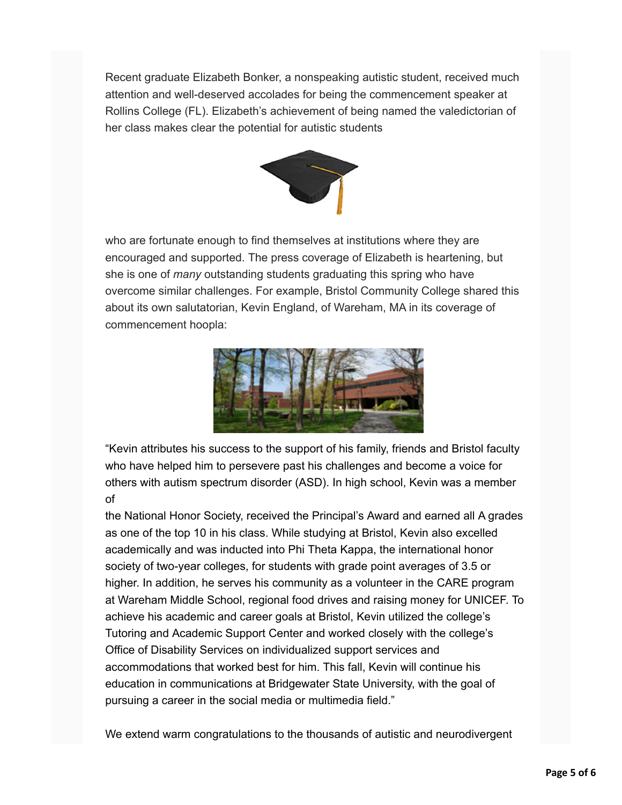Recent graduate Elizabeth Bonker, a nonspeaking autistic student, received much attention and well-deserved accolades for being the commencement speaker at Rollins College (FL). Elizabeth's achievement of being named the valedictorian of her class makes clear the potential for autistic students



who are fortunate enough to find themselves at institutions where they are encouraged and supported. The press coverage of Elizabeth is heartening, but she is one of *many* outstanding students graduating this spring who have overcome similar challenges. For example, Bristol Community College shared this about its own salutatorian, Kevin England, of Wareham, MA in its coverage of commencement hoopla:



"Kevin attributes his success to the support of his family, friends and Bristol faculty who have helped him to persevere past his challenges and become a voice for others with autism spectrum disorder (ASD). In high school, Kevin was a member of

the National Honor Society, received the Principal's Award and earned all A grades as one of the top 10 in his class. While studying at Bristol, Kevin also excelled academically and was inducted into Phi Theta Kappa, the international honor society of two-year colleges, for students with grade point averages of 3.5 or higher. In addition, he serves his community as a volunteer in the CARE program at Wareham Middle School, regional food drives and raising money for UNICEF. To achieve his academic and career goals at Bristol, Kevin utilized the college's Tutoring and Academic Support Center and worked closely with the college's Office of Disability Services on individualized support services and accommodations that worked best for him. This fall, Kevin will continue his education in communications at Bridgewater State University, with the goal of pursuing a career in the social media or multimedia field."

We extend warm congratulations to the thousands of autistic and neurodivergent